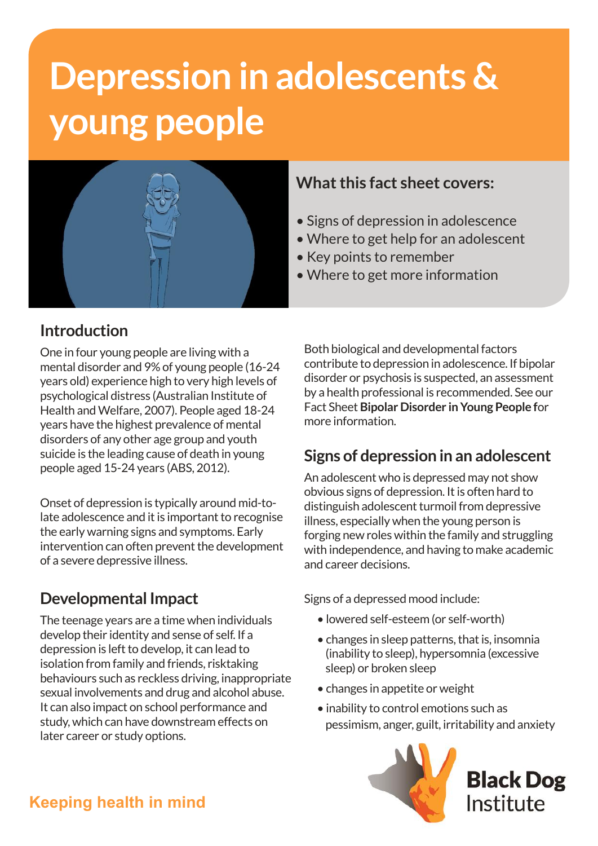# **Depression in adolescents & young people**



#### **What this fact sheet covers:**

- Signs of depression in adolescence
- Where to get help for an adolescent
- Key points to remember
- Where to get more information

## **Introduction**

One in four young people are living with a mental disorder and 9% of young people (16-24 years old) experience high to very high levels of psychological distress (Australian Institute of Health and Welfare, 2007). People aged 18-24 years have the highest prevalence of mental disorders of any other age group and youth suicide is the leading cause of death in young people aged 15-24 years (ABS, 2012).

Onset of depression is typically around mid-tolate adolescence and it is important to recognise the early warning signs and symptoms. Early intervention can often prevent the development of a severe depressive illness.

## **Developmental Impact**

The teenage years are a time when individuals develop their identity and sense of self. If a depression is left to develop, it can lead to isolation from family and friends, risktaking behaviours such as reckless driving, inappropriate sexual involvements and drug and alcohol abuse. It can also impact on school performance and study, which can have downstream effects on later career or study options.

Both biological and developmental factors contribute to depression in adolescence. If bipolar disorder or psychosis is suspected, an assessment by a health professional is recommended. See our Fact Sheet **Bipolar Disorder in Young People f**or more information.

## **Signs of depression in an adolescent**

An adolescent who is depressed may not show obvious signs of depression. It is often hard to distinguish adolescent turmoil from depressive illness, especially when the young person is forging new roles within the family and struggling with independence, and having to make academic and career decisions.

Signs of a depressed mood include:

- lowered self-esteem (or self-worth)
- changes in sleep patterns, that is, insomnia (inability to sleep), hypersomnia (excessive sleep) or broken sleep
- changes in appetite or weight
- inability to control emotions such as pessimism, anger, guilt, irritability and anxiety



**Black Dog** Institute

# **Keeping health in mind**